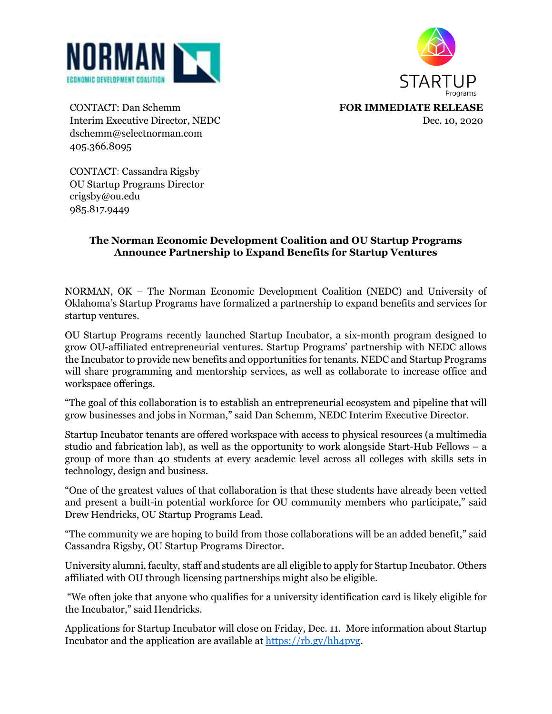



Interim Executive Director, NEDC Dec. 10, 2020 dschemm@selectnorman.com 405.366.8095

CONTACT: Dan Schemm **FOR IMMEDIATE RELEASE**

CONTACT: Cassandra Rigsby OU Startup Programs Director crigsby@ou.edu 985.817.9449

## **The Norman Economic Development Coalition and OU Startup Programs Announce Partnership to Expand Benefits for Startup Ventures**

NORMAN, OK – The Norman Economic Development Coalition (NEDC) and University of Oklahoma's Startup Programs have formalized a partnership to expand benefits and services for startup ventures.

OU Startup Programs recently launched Startup Incubator, a six-month program designed to grow OU-affiliated entrepreneurial ventures. Startup Programs' partnership with NEDC allows the Incubator to provide new benefits and opportunities for tenants. NEDC and Startup Programs will share programming and mentorship services, as well as collaborate to increase office and workspace offerings.

"The goal of this collaboration is to establish an entrepreneurial ecosystem and pipeline that will grow businesses and jobs in Norman," said Dan Schemm, NEDC Interim Executive Director.

Startup Incubator tenants are offered workspace with access to physical resources (a multimedia studio and fabrication lab), as well as the opportunity to work alongside Start-Hub Fellows – a group of more than 40 students at every academic level across all colleges with skills sets in technology, design and business.

"One of the greatest values of that collaboration is that these students have already been vetted and present a built-in potential workforce for OU community members who participate," said Drew Hendricks, OU Startup Programs Lead.

"The community we are hoping to build from those collaborations will be an added benefit," said Cassandra Rigsby, OU Startup Programs Director.

University alumni, faculty, staff and students are all eligible to apply for Startup Incubator. Others affiliated with OU through licensing partnerships might also be eligible.

"We often joke that anyone who qualifies for a university identification card is likely eligible for the Incubator," said Hendricks.

Applications for Startup Incubator will close on Friday, Dec. 11. More information about Startup Incubator and the application are available at [https://rb.gy/hh4pvg.](https://rb.gy/hh4pvg)